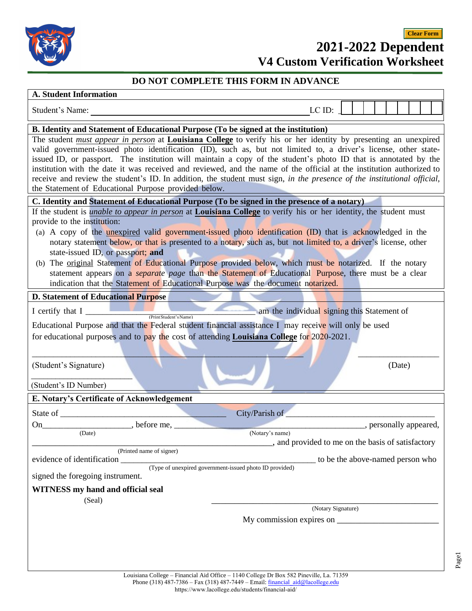

## **2021-2022 Dependent V4 Custom Verification Worksheet Clear Form**

## **DO NOT COMPLETE THIS FORM IN ADVANCE**

## **A. Student Information**

| <b>A. Student Information</b>                                                                                                                                                                                                                                                                                                                                                                                                                                                                                                                                                                                                                                                                                                                               |                                             |                                                   |                        |        |  |
|-------------------------------------------------------------------------------------------------------------------------------------------------------------------------------------------------------------------------------------------------------------------------------------------------------------------------------------------------------------------------------------------------------------------------------------------------------------------------------------------------------------------------------------------------------------------------------------------------------------------------------------------------------------------------------------------------------------------------------------------------------------|---------------------------------------------|---------------------------------------------------|------------------------|--------|--|
| Student's Name:                                                                                                                                                                                                                                                                                                                                                                                                                                                                                                                                                                                                                                                                                                                                             |                                             | LC ID:                                            |                        |        |  |
| B. Identity and Statement of Educational Purpose (To be signed at the institution)                                                                                                                                                                                                                                                                                                                                                                                                                                                                                                                                                                                                                                                                          |                                             |                                                   |                        |        |  |
| The student <i>must appear in person</i> at <b>Louisiana College</b> to verify his or her identity by presenting an unexpired<br>valid government-issued photo identification (ID), such as, but not limited to, a driver's license, other state-<br>issued ID, or passport. The institution will maintain a copy of the student's photo ID that is annotated by the<br>institution with the date it was received and reviewed, and the name of the official at the institution authorized to<br>receive and review the student's ID. In addition, the student must sign, in the presence of the institutional official,<br>the Statement of Educational Purpose provided below.                                                                            |                                             |                                                   |                        |        |  |
| C. Identity and Statement of Educational Purpose (To be signed in the presence of a notary)                                                                                                                                                                                                                                                                                                                                                                                                                                                                                                                                                                                                                                                                 |                                             |                                                   |                        |        |  |
| If the student is <i>unable to appear in person</i> at <b>Louisiana College</b> to verify his or her identity, the student must<br>provide to the institution:<br>(a) A copy of the <u>unexpired</u> valid government-issued photo identification (ID) that is acknowledged in the<br>notary statement below, or that is presented to a notary, such as, but not limited to, a driver's license, other<br>state-issued ID, or passport; and<br>(b) The original Statement of Educational Purpose provided below, which must be notarized. If the notary<br>statement appears on a <i>separate page</i> than the Statement of Educational Purpose, there must be a clear<br>indication that the Statement of Educational Purpose was the document notarized. |                                             |                                                   |                        |        |  |
| <b>D. Statement of Educational Purpose</b>                                                                                                                                                                                                                                                                                                                                                                                                                                                                                                                                                                                                                                                                                                                  |                                             |                                                   |                        |        |  |
| I certify that $I_{-}$                                                                                                                                                                                                                                                                                                                                                                                                                                                                                                                                                                                                                                                                                                                                      | am the individual signing this Statement of |                                                   |                        |        |  |
| (Print Student's Name)<br>Educational Purpose and that the Federal student financial assistance I may receive will only be used<br>for educational purposes and to pay the cost of attending <b>Louisiana College</b> for $2020-2021$ .<br>(Student's Signature)<br>(Student's ID Number)                                                                                                                                                                                                                                                                                                                                                                                                                                                                   |                                             |                                                   |                        | (Date) |  |
| E. Notary's Certificate of Acknowledgement                                                                                                                                                                                                                                                                                                                                                                                                                                                                                                                                                                                                                                                                                                                  |                                             |                                                   |                        |        |  |
| State of<br>. before me,<br>On<br>(Date)<br>(Printed name of signer)                                                                                                                                                                                                                                                                                                                                                                                                                                                                                                                                                                                                                                                                                        | City/Parish of<br>(Notary's name)           | , and provided to me on the basis of satisfactory | , personally appeared, |        |  |
| evidence of identification<br>(Type of unexpired government-issued photo ID provided)                                                                                                                                                                                                                                                                                                                                                                                                                                                                                                                                                                                                                                                                       |                                             | to be the above-named person who                  |                        |        |  |
| signed the foregoing instrument.                                                                                                                                                                                                                                                                                                                                                                                                                                                                                                                                                                                                                                                                                                                            |                                             |                                                   |                        |        |  |
| <b>WITNESS</b> my hand and official seal<br>(Seal)                                                                                                                                                                                                                                                                                                                                                                                                                                                                                                                                                                                                                                                                                                          |                                             | (Notary Signature)                                |                        |        |  |
|                                                                                                                                                                                                                                                                                                                                                                                                                                                                                                                                                                                                                                                                                                                                                             |                                             |                                                   |                        |        |  |